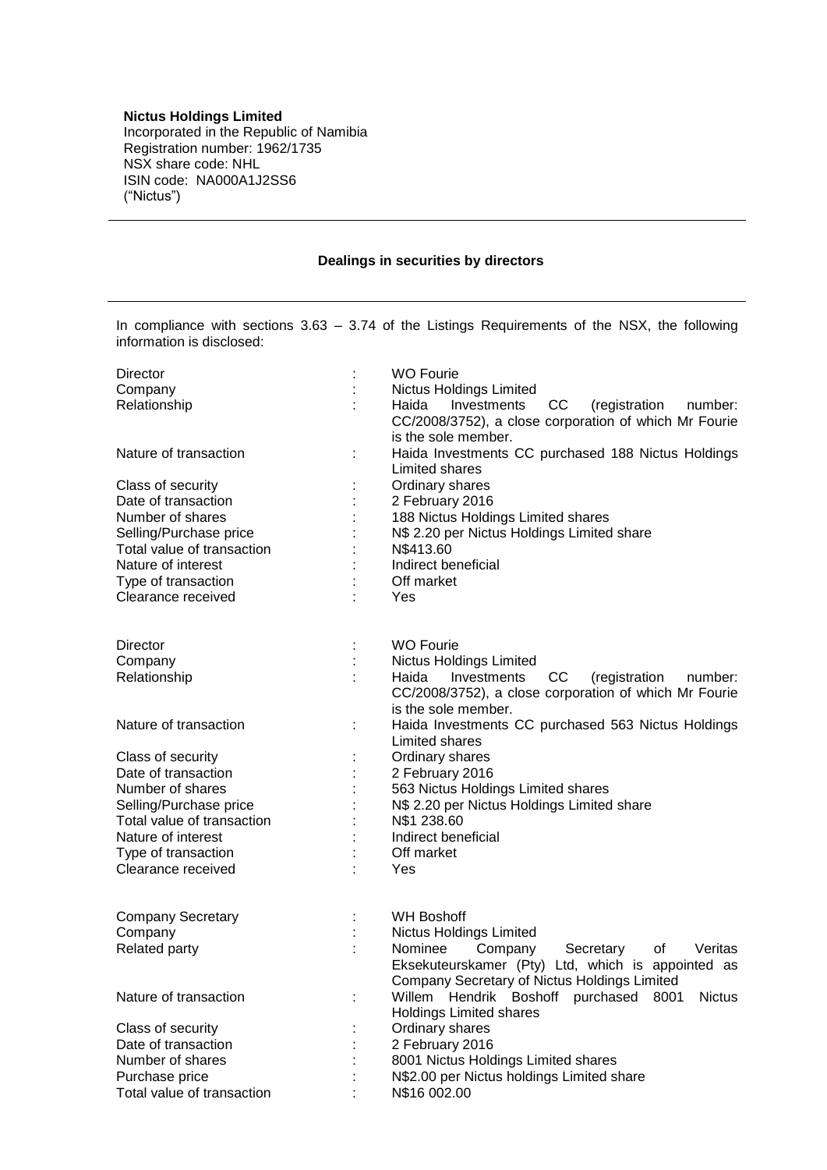## **Nictus Holdings Limited**

Incorporated in the Republic of Namibia Registration number: 1962/1735 NSX share code: NHL ISIN code: NA000A1J2SS6 ("Nictus")

## **Dealings in securities by directors**

In compliance with sections 3.63 – 3.74 of the Listings Requirements of the NSX, the following information is disclosed:

| Director                   |   | <b>WO Fourie</b>                                             |  |  |
|----------------------------|---|--------------------------------------------------------------|--|--|
| Company                    |   | Nictus Holdings Limited                                      |  |  |
| Relationship               |   | cc<br>Haida<br>Investments<br>(registration<br>number:       |  |  |
|                            |   | CC/2008/3752), a close corporation of which Mr Fourie        |  |  |
|                            |   | is the sole member.                                          |  |  |
| Nature of transaction      |   | Haida Investments CC purchased 188 Nictus Holdings           |  |  |
|                            |   | Limited shares                                               |  |  |
| Class of security          |   | Ordinary shares                                              |  |  |
| Date of transaction        |   | 2 February 2016                                              |  |  |
| Number of shares           |   | 188 Nictus Holdings Limited shares                           |  |  |
| Selling/Purchase price     |   | N\$ 2.20 per Nictus Holdings Limited share                   |  |  |
| Total value of transaction |   | N\$413.60                                                    |  |  |
| Nature of interest         |   | Indirect beneficial                                          |  |  |
| Type of transaction        |   | Off market                                                   |  |  |
| Clearance received         |   | Yes                                                          |  |  |
|                            |   |                                                              |  |  |
| <b>Director</b>            |   | <b>WO Fourie</b>                                             |  |  |
| Company                    |   | Nictus Holdings Limited                                      |  |  |
| Relationship               |   | Haida<br>Investments<br>CC<br>(registration<br>number:       |  |  |
|                            |   | CC/2008/3752), a close corporation of which Mr Fourie        |  |  |
|                            |   | is the sole member.                                          |  |  |
| Nature of transaction      | ÷ | Haida Investments CC purchased 563 Nictus Holdings           |  |  |
|                            |   | Limited shares                                               |  |  |
| Class of security          |   | Ordinary shares                                              |  |  |
| Date of transaction        |   | 2 February 2016                                              |  |  |
| Number of shares           |   | 563 Nictus Holdings Limited shares                           |  |  |
| Selling/Purchase price     |   | N\$ 2.20 per Nictus Holdings Limited share                   |  |  |
| Total value of transaction |   | N\$1 238.60                                                  |  |  |
| Nature of interest         |   | Indirect beneficial                                          |  |  |
| Type of transaction        |   | Off market                                                   |  |  |
| Clearance received         |   | Yes                                                          |  |  |
| <b>Company Secretary</b>   |   | <b>WH Boshoff</b>                                            |  |  |
| Company                    |   | <b>Nictus Holdings Limited</b>                               |  |  |
| Related party              |   | Company<br>Nominee<br>Secretary<br>οf<br>Veritas             |  |  |
|                            |   | Eksekuteurskamer (Pty) Ltd, which is appointed as            |  |  |
|                            |   | Company Secretary of Nictus Holdings Limited                 |  |  |
| Nature of transaction      |   | Willem<br>Hendrik Boshoff<br><b>Nictus</b><br>purchased 8001 |  |  |
|                            |   | <b>Holdings Limited shares</b>                               |  |  |
| Class of security          |   | Ordinary shares                                              |  |  |
| Date of transaction        |   | 2 February 2016                                              |  |  |
| Number of shares           |   | 8001 Nictus Holdings Limited shares                          |  |  |
| Purchase price             |   | N\$2.00 per Nictus holdings Limited share                    |  |  |
| Total value of transaction |   | N\$16 002.00                                                 |  |  |
|                            |   |                                                              |  |  |